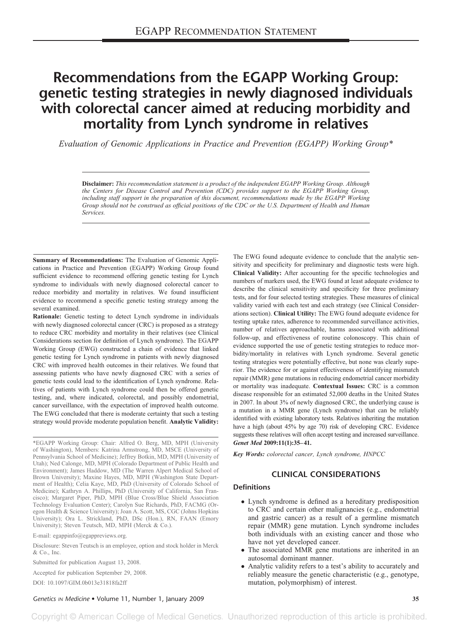# **Recommendations from the EGAPP Working Group: genetic testing strategies in newly diagnosed individuals with colorectal cancer aimed at reducing morbidity and mortality from Lynch syndrome in relatives**

*Evaluation of Genomic Applications in Practice and Prevention (EGAPP) Working Group\**

**Disclaimer:** *This recommendation statement is a product of the independent EGAPP Working Group. Although the Centers for Disease Control and Prevention (CDC) provides support to the EGAPP Working Group, including staff support in the preparation of this document, recommendations made by the EGAPP Working Group should not be construed as official positions of the CDC or the U.S. Department of Health and Human Services.*

**Summary of Recommendations:** The Evaluation of Genomic Applications in Practice and Prevention (EGAPP) Working Group found sufficient evidence to recommend offering genetic testing for Lynch syndrome to individuals with newly diagnosed colorectal cancer to reduce morbidity and mortality in relatives. We found insufficient evidence to recommend a specific genetic testing strategy among the several examined.

**Rationale:** Genetic testing to detect Lynch syndrome in individuals with newly diagnosed colorectal cancer (CRC) is proposed as a strategy to reduce CRC morbidity and mortality in their relatives (see Clinical Considerations section for definition of Lynch syndrome). The EGAPP Working Group (EWG) constructed a chain of evidence that linked genetic testing for Lynch syndrome in patients with newly diagnosed CRC with improved health outcomes in their relatives. We found that assessing patients who have newly diagnosed CRC with a series of genetic tests could lead to the identification of Lynch syndrome. Relatives of patients with Lynch syndrome could then be offered genetic testing, and, where indicated, colorectal, and possibly endometrial, cancer surveillance, with the expectation of improved health outcome. The EWG concluded that there is moderate certainty that such a testing strategy would provide moderate population benefit. **Analytic Validity:**

\*EGAPP Working Group: Chair: Alfred O. Berg, MD, MPH (University of Washington), Members: Katrina Armstrong, MD, MSCE (University of Pennsylvania School of Medicine); Jeffrey Botkin, MD, MPH (University of Utah); Ned Calonge, MD, MPH (Colorado Department of Public Health and Environment); James Haddow, MD (The Warren Alpert Medical School of Brown University); Maxine Hayes, MD, MPH (Washington State Department of Health); Celia Kaye, MD, PhD (University of Colorado School of Medicine); Kathryn A. Phillips, PhD (University of California, San Francisco); Margaret Piper, PhD, MPH (Blue Cross/Blue Shield Association Technology Evaluation Center); Carolyn Sue Richards, PhD, FACMG (Oregon Health & Science University); Joan A. Scott, MS, CGC (Johns Hopkins University); Ora L. Strickland, PhD, DSc (Hon.), RN, FAAN (Emory University); Steven Teutsch, MD, MPH (Merck & Co.).

E-mail: egappinfo@egappreviews.org.

Disclosure: Steven Teutsch is an employee, option and stock holder in Merck & Co., Inc.

Submitted for publication August 13, 2008.

Accepted for publication September 29, 2008.

DOI: 10.1097/GIM.0b013e31818fa2ff

# *Genetics IN Medicine* • Volume 11, Number 1, January 2009 **35**

The EWG found adequate evidence to conclude that the analytic sensitivity and specificity for preliminary and diagnostic tests were high. **Clinical Validity:** After accounting for the specific technologies and numbers of markers used, the EWG found at least adequate evidence to describe the clinical sensitivity and specificity for three preliminary tests, and for four selected testing strategies. These measures of clinical validity varied with each test and each strategy (see Clinical Considerations section). **Clinical Utility:** The EWG found adequate evidence for testing uptake rates, adherence to recommended surveillance activities, number of relatives approachable, harms associated with additional follow-up, and effectiveness of routine colonoscopy. This chain of evidence supported the use of genetic testing strategies to reduce morbidity/mortality in relatives with Lynch syndrome. Several genetic testing strategies were potentially effective, but none was clearly superior. The evidence for or against effectiveness of identifying mismatch repair (MMR) gene mutations in reducing endometrial cancer morbidity or mortality was inadequate. **Contextual Issues:** CRC is a common disease responsible for an estimated 52,000 deaths in the United States in 2007. In about 3% of newly diagnosed CRC, the underlying cause is a mutation in a MMR gene (Lynch syndrome) that can be reliably identified with existing laboratory tests. Relatives inheriting the mutation have a high (about 45% by age 70) risk of developing CRC. Evidence suggests these relatives will often accept testing and increased surveillance. *Genet Med* **2009:11(1):35– 41.**

*Key Words: colorectal cancer, Lynch syndrome, HNPCC*

# **CLINICAL CONSIDERATIONS**

# **Definitions**

- Lynch syndrome is defined as a hereditary predisposition to CRC and certain other malignancies (e.g., endometrial and gastric cancer) as a result of a germline mismatch repair (MMR) gene mutation. Lynch syndrome includes both individuals with an existing cancer and those who have not yet developed cancer.
- The associated MMR gene mutations are inherited in an autosomal dominant manner.
- Analytic validity refers to a test's ability to accurately and reliably measure the genetic characteristic (e.g., genotype, mutation, polymorphism) of interest.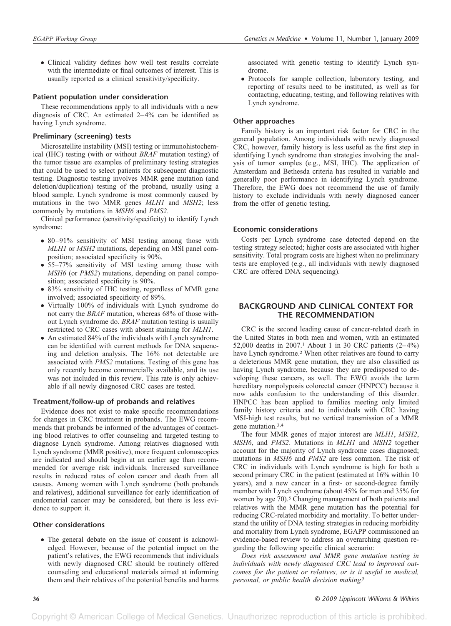● Clinical validity defines how well test results correlate with the intermediate or final outcomes of interest. This is usually reported as a clinical sensitivity/specificity.

## **Patient population under consideration**

These recommendations apply to all individuals with a new diagnosis of CRC. An estimated 2– 4% can be identified as having Lynch syndrome.

## **Preliminary (screening) tests**

Microsatellite instability (MSI) testing or immunohistochemical (IHC) testing (with or without *BRAF* mutation testing) of the tumor tissue are examples of preliminary testing strategies that could be used to select patients for subsequent diagnostic testing. Diagnostic testing involves MMR gene mutation (and deletion/duplication) testing of the proband, usually using a blood sample. Lynch syndrome is most commonly caused by mutations in the two MMR genes *MLH1* and *MSH2*; less commonly by mutations in *MSH6* and *PMS2*.

Clinical performance (sensitivity/specificity) to identify Lynch syndrome:

- 80-91% sensitivity of MSI testing among those with *MLH1* or *MSH2* mutations, depending on MSI panel composition; associated specificity is 90%.
- 55–77% sensitivity of MSI testing among those with *MSH6* (or *PMS2*) mutations, depending on panel composition; associated specificity is 90%.
- 83% sensitivity of IHC testing, regardless of MMR gene involved; associated specificity of 89%.
- Virtually 100% of individuals with Lynch syndrome do not carry the *BRAF* mutation, whereas 68% of those without Lynch syndrome do. *BRAF* mutation testing is usually restricted to CRC cases with absent staining for *MLH1*.
- An estimated 84% of the individuals with Lynch syndrome can be identified with current methods for DNA sequencing and deletion analysis. The 16% not detectable are associated with *PMS2* mutations. Testing of this gene has only recently become commercially available, and its use was not included in this review. This rate is only achievable if all newly diagnosed CRC cases are tested.

## **Treatment/follow-up of probands and relatives**

Evidence does not exist to make specific recommendations for changes in CRC treatment in probands. The EWG recommends that probands be informed of the advantages of contacting blood relatives to offer counseling and targeted testing to diagnose Lynch syndrome. Among relatives diagnosed with Lynch syndrome (MMR positive), more frequent colonoscopies are indicated and should begin at an earlier age than recommended for average risk individuals. Increased surveillance results in reduced rates of colon cancer and death from all causes. Among women with Lynch syndrome (both probands and relatives), additional surveillance for early identification of endometrial cancer may be considered, but there is less evidence to support it.

## **Other considerations**

● The general debate on the issue of consent is acknowledged. However, because of the potential impact on the patient's relatives, the EWG recommends that individuals with newly diagnosed CRC should be routinely offered counseling and educational materials aimed at informing them and their relatives of the potential benefits and harms

associated with genetic testing to identify Lynch syndrome.

• Protocols for sample collection, laboratory testing, and reporting of results need to be instituted, as well as for contacting, educating, testing, and following relatives with Lynch syndrome.

## **Other approaches**

Family history is an important risk factor for CRC in the general population. Among individuals with newly diagnosed CRC, however, family history is less useful as the first step in identifying Lynch syndrome than strategies involving the analysis of tumor samples (e.g., MSI, IHC). The application of Amsterdam and Bethesda criteria has resulted in variable and generally poor performance in identifying Lynch syndrome. Therefore, the EWG does not recommend the use of family history to exclude individuals with newly diagnosed cancer from the offer of genetic testing.

## **Economic considerations**

Costs per Lynch syndrome case detected depend on the testing strategy selected; higher costs are associated with higher sensitivity. Total program costs are highest when no preliminary tests are employed (e.g., all individuals with newly diagnosed CRC are offered DNA sequencing).

# **BACKGROUND AND CLINICAL CONTEXT FOR THE RECOMMENDATION**

CRC is the second leading cause of cancer-related death in the United States in both men and women, with an estimated 52,000 deaths in 2007.<sup>1</sup> About 1 in 30 CRC patients  $(2-4\%)$ have Lynch syndrome.<sup>2</sup> When other relatives are found to carry a deleterious MMR gene mutation, they are also classified as having Lynch syndrome, because they are predisposed to developing these cancers, as well. The EWG avoids the term hereditary nonpolyposis colorectal cancer (HNPCC) because it now adds confusion to the understanding of this disorder. HNPCC has been applied to families meeting only limited family history criteria and to individuals with CRC having MSI-high test results, but no vertical transmission of a MMR gene mutation.3,4

The four MMR genes of major interest are *MLH1*, *MSH2*, *MSH6*, and *PMS2*. Mutations in *MLH1* and *MSH2* together account for the majority of Lynch syndrome cases diagnosed; mutations in *MSH6* and *PMS2* are less common. The risk of CRC in individuals with Lynch syndrome is high for both a second primary CRC in the patient (estimated at 16% within 10 years), and a new cancer in a first- or second-degree family member with Lynch syndrome (about 45% for men and 35% for women by age 70).<sup>5</sup> Changing management of both patients and relatives with the MMR gene mutation has the potential for reducing CRC-related morbidity and mortality. To better understand the utility of DNA testing strategies in reducing morbidity and mortality from Lynch syndrome, EGAPP commissioned an evidence-based review to address an overarching question regarding the following specific clinical scenario:

*Does risk assessment and MMR gene mutation testing in individuals with newly diagnosed CRC lead to improved outcomes for the patient or relatives, or is it useful in medical, personal, or public health decision making?*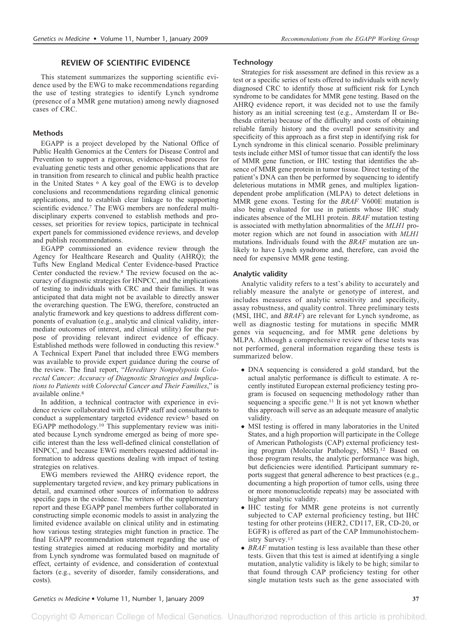# **REVIEW OF SCIENTIFIC EVIDENCE**

This statement summarizes the supporting scientific evidence used by the EWG to make recommendations regarding the use of testing strategies to identify Lynch syndrome (presence of a MMR gene mutation) among newly diagnosed cases of CRC.

### **Methods**

EGAPP is a project developed by the National Office of Public Health Genomics at the Centers for Disease Control and Prevention to support a rigorous, evidence-based process for evaluating genetic tests and other genomic applications that are in transition from research to clinical and public health practice in the United States <sup>6</sup> A key goal of the EWG is to develop conclusions and recommendations regarding clinical genomic applications, and to establish clear linkage to the supporting scientific evidence.7 The EWG members are nonfederal multidisciplinary experts convened to establish methods and processes, set priorities for review topics, participate in technical expert panels for commissioned evidence reviews, and develop and publish recommendations.

EGAPP commissioned an evidence review through the Agency for Healthcare Research and Quality (AHRQ); the Tufts New England Medical Center Evidence-based Practice Center conducted the review.8 The review focused on the accuracy of diagnostic strategies for HNPCC, and the implications of testing to individuals with CRC and their families. It was anticipated that data might not be available to directly answer the overarching question. The EWG, therefore, constructed an analytic framework and key questions to address different components of evaluation (e.g., analytic and clinical validity, intermediate outcomes of interest, and clinical utility) for the purpose of providing relevant indirect evidence of efficacy. Established methods were followed in conducting this review.9 A Technical Expert Panel that included three EWG members was available to provide expert guidance during the course of the review. The final report, "*Hereditary Nonpolyposis Colorectal Cancer: Accuracy of Diagnostic Strategies and Implications to Patients with Colorectal Cancer and Their Families*," is available online.8

In addition, a technical contractor with experience in evidence review collaborated with EGAPP staff and consultants to conduct a supplementary targeted evidence review<sup>5</sup> based on EGAPP methodology.10 This supplementary review was initiated because Lynch syndrome emerged as being of more specific interest than the less well-defined clinical constellation of HNPCC, and because EWG members requested additional information to address questions dealing with impact of testing strategies on relatives.

EWG members reviewed the AHRQ evidence report, the supplementary targeted review, and key primary publications in detail, and examined other sources of information to address specific gaps in the evidence. The writers of the supplementary report and these EGAPP panel members further collaborated in constructing simple economic models to assist in analyzing the limited evidence available on clinical utility and in estimating how various testing strategies might function in practice. The final EGAPP recommendation statement regarding the use of testing strategies aimed at reducing morbidity and mortality from Lynch syndrome was formulated based on magnitude of effect, certainty of evidence, and consideration of contextual factors (e.g., severity of disorder, family considerations, and costs).

## **Technology**

Strategies for risk assessment are defined in this review as a test or a specific series of tests offered to individuals with newly diagnosed CRC to identify those at sufficient risk for Lynch syndrome to be candidates for MMR gene testing. Based on the AHRQ evidence report, it was decided not to use the family history as an initial screening test (e.g., Amsterdam II or Bethesda criteria) because of the difficulty and costs of obtaining reliable family history and the overall poor sensitivity and specificity of this approach as a first step in identifying risk for Lynch syndrome in this clinical scenario. Possible preliminary tests include either MSI of tumor tissue that can identify the loss of MMR gene function, or IHC testing that identifies the absence of MMR gene protein in tumor tissue. Direct testing of the patient's DNA can then be performed by sequencing to identify deleterious mutations in MMR genes, and multiplex ligationdependent probe amplification (MLPA) to detect deletions in MMR gene exons. Testing for the *BRAF* V600E mutation is also being evaluated for use in patients whose IHC study indicates absence of the MLH1 protein. *BRAF* mutation testing is associated with methylation abnormalities of the *MLH1* promoter region which are not found in association with *MLH1* mutations. Individuals found with the *BRAF* mutation are unlikely to have Lynch syndrome and, therefore, can avoid the need for expensive MMR gene testing.

#### **Analytic validity**

Analytic validity refers to a test's ability to accurately and reliably measure the analyte or genotype of interest, and includes measures of analytic sensitivity and specificity, assay robustness, and quality control. Three preliminary tests (MSI, IHC, and *BRAF*) are relevant for Lynch syndrome, as well as diagnostic testing for mutations in specific MMR genes via sequencing, and for MMR gene deletions by MLPA. Although a comprehensive review of these tests was not performed, general information regarding these tests is summarized below.

- DNA sequencing is considered a gold standard, but the actual analytic performance is difficult to estimate. A recently instituted European external proficiency testing program is focused on sequencing methodology rather than sequencing a specific gene.<sup>11</sup> It is not yet known whether this approach will serve as an adequate measure of analytic validity.
- MSI testing is offered in many laboratories in the United States, and a high proportion will participate in the College of American Pathologists (CAP) external proficiency testing program (Molecular Pathology, MSI).12 Based on those program results, the analytic performance was high, but deficiencies were identified. Participant summary reports suggest that general adherence to best practices (e.g., documenting a high proportion of tumor cells, using three or more mononucleotide repeats) may be associated with higher analytic validity.
- IHC testing for MMR gene proteins is not currently subjected to CAP external proficiency testing, but IHC testing for other proteins (HER2, CD117, ER, CD-20, or EGFR) is offered as part of the CAP Immunohistochemistry Survey.13
- *BRAF* mutation testing is less available than these other tests. Given that this test is aimed at identifying a single mutation, analytic validity is likely to be high; similar to that found through CAP proficiency testing for other single mutation tests such as the gene associated with

*Genetics IN Medicine* • Volume 11, Number 1, January 2009 **37**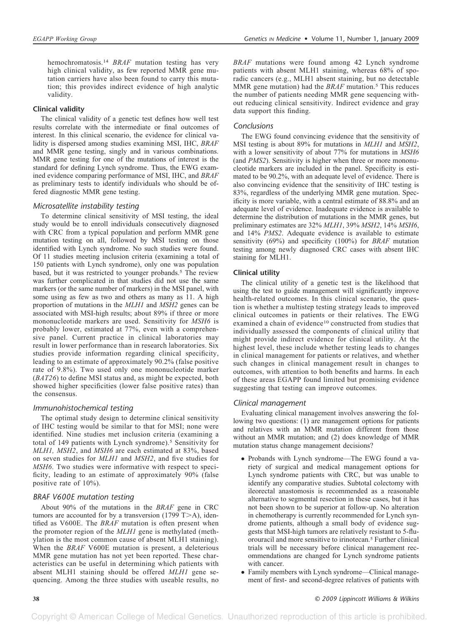hemochromatosis.14 *BRAF* mutation testing has very high clinical validity, as few reported MMR gene mutation carriers have also been found to carry this mutation; this provides indirect evidence of high analytic validity.

# **Clinical validity**

The clinical validity of a genetic test defines how well test results correlate with the intermediate or final outcomes of interest. In this clinical scenario, the evidence for clinical validity is dispersed among studies examining MSI, IHC, *BRAF* and MMR gene testing, singly and in various combinations. MMR gene testing for one of the mutations of interest is the standard for defining Lynch syndrome. Thus, the EWG examined evidence comparing performance of MSI, IHC, and *BRAF* as preliminary tests to identify individuals who should be offered diagnostic MMR gene testing.

## *Microsatellite instability testing*

To determine clinical sensitivity of MSI testing, the ideal study would be to enroll individuals consecutively diagnosed with CRC from a typical population and perform MMR gene mutation testing on all, followed by MSI testing on those identified with Lynch syndrome. No such studies were found. Of 11 studies meeting inclusion criteria (examining a total of 150 patients with Lynch syndrome), only one was population based, but it was restricted to younger probands.<sup>5</sup> The review was further complicated in that studies did not use the same markers (or the same number of markers) in the MSI panel, with some using as few as two and others as many as 11. A high proportion of mutations in the *MLH1* and *MSH2* genes can be associated with MSI-high results; about 89% if three or more mononucleotide markers are used. Sensitivity for *MSH6* is probably lower, estimated at 77%, even with a comprehensive panel. Current practice in clinical laboratories may result in lower performance than in research laboratories. Six studies provide information regarding clinical specificity, leading to an estimate of approximately 90.2% (false positive rate of 9.8%). Two used only one mononucleotide marker (*BAT26*) to define MSI status and, as might be expected, both showed higher specificities (lower false positive rates) than the consensus.

# *Immunohistochemical testing*

The optimal study design to determine clinical sensitivity of IHC testing would be similar to that for MSI; none were identified. Nine studies met inclusion criteria (examining a total of 149 patients with Lynch syndrome).5 Sensitivity for *MLH1, MSH2*, and *MSH6* are each estimated at 83%, based on seven studies for *MLH1* and *MSH2*, and five studies for *MSH6*. Two studies were informative with respect to specificity, leading to an estimate of approximately 90% (false positive rate of 10%).

## *BRAF V600E mutation testing*

About 90% of the mutations in the *BRAF* gene in CRC tumors are accounted for by a transversion  $(1799 \text{ T} > A)$ , identified as V600E. The *BRAF* mutation is often present when the promoter region of the *MLH1* gene is methylated (methylation is the most common cause of absent MLH1 staining). When the *BRAF* V600E mutation is present, a deleterious MMR gene mutation has not yet been reported. These characteristics can be useful in determining which patients with absent MLH1 staining should be offered *MLH1* gene sequencing. Among the three studies with useable results, no

*BRAF* mutations were found among 42 Lynch syndrome patients with absent MLH1 staining, whereas 68% of sporadic cancers (e.g., MLH1 absent staining, but no detectable MMR gene mutation) had the *BRAF* mutation.<sup>5</sup> This reduces the number of patients needing MMR gene sequencing without reducing clinical sensitivity. Indirect evidence and gray data support this finding.

# *Conclusions*

The EWG found convincing evidence that the sensitivity of MSI testing is about 89% for mutations in *MLH1* and *MSH2*, with a lower sensitivity of about 77% for mutations in *MSH6* (and *PMS2*). Sensitivity is higher when three or more mononucleotide markers are included in the panel. Specificity is estimated to be 90.2%, with an adequate level of evidence. There is also convincing evidence that the sensitivity of IHC testing is 83%, regardless of the underlying MMR gene mutation. Specificity is more variable, with a central estimate of 88.8% and an adequate level of evidence. Inadequate evidence is available to determine the distribution of mutations in the MMR genes, but preliminary estimates are 32% *MLH1*, 39% *MSH2*, 14% *MSH6*, and 14% *PMS2*. Adequate evidence is available to estimate sensitivity (69%) and specificity (100%) for *BRAF* mutation testing among newly diagnosed CRC cases with absent IHC staining for MLH1.

## **Clinical utility**

The clinical utility of a genetic test is the likelihood that using the test to guide management will significantly improve health-related outcomes. In this clinical scenario, the question is whether a multistep testing strategy leads to improved clinical outcomes in patients or their relatives. The EWG examined a chain of evidence<sup>10</sup> constructed from studies that individually assessed the components of clinical utility that might provide indirect evidence for clinical utility. At the highest level, these include whether testing leads to changes in clinical management for patients or relatives, and whether such changes in clinical management result in changes to outcomes, with attention to both benefits and harms. In each of these areas EGAPP found limited but promising evidence suggesting that testing can improve outcomes.

## *Clinical management*

Evaluating clinical management involves answering the following two questions: (1) are management options for patients and relatives with an MMR mutation different from those without an MMR mutation; and (2) does knowledge of MMR mutation status change management decisions?

- Probands with Lynch syndrome—The EWG found a variety of surgical and medical management options for Lynch syndrome patients with CRC, but was unable to identify any comparative studies. Subtotal colectomy with ileorectal anastomosis is recommended as a reasonable alternative to segmental resection in these cases, but it has not been shown to be superior at follow-up. No alteration in chemotherapy is currently recommended for Lynch syndrome patients, although a small body of evidence suggests that MSI-high tumors are relatively resistant to 5-fluorouracil and more sensitive to irinotecan.5 Further clinical trials will be necessary before clinical management recommendations are changed for Lynch syndrome patients with cancer.
- Family members with Lynch syndrome—Clinical management of first- and second-degree relatives of patients with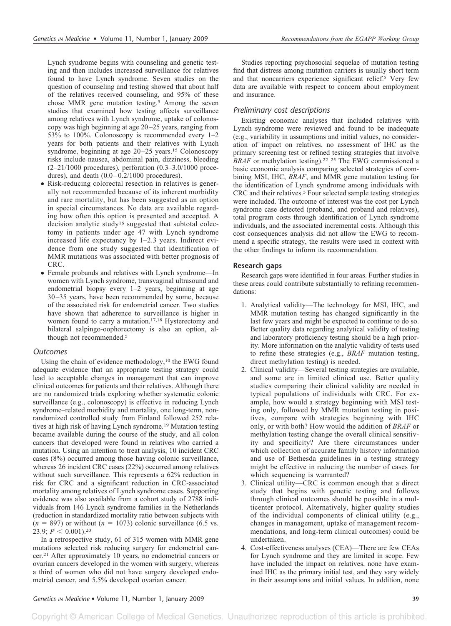Lynch syndrome begins with counseling and genetic testing and then includes increased surveillance for relatives found to have Lynch syndrome. Seven studies on the question of counseling and testing showed that about half of the relatives received counseling, and 95% of these chose MMR gene mutation testing.<sup>5</sup> Among the seven studies that examined how testing affects surveillance among relatives with Lynch syndrome, uptake of colonoscopy was high beginning at age 20 –25 years, ranging from 53% to 100%. Colonoscopy is recommended every 1–2 years for both patients and their relatives with Lynch syndrome, beginning at age 20–25 years.<sup>15</sup> Colonoscopy risks include nausea, abdominal pain, dizziness, bleeding (2–21/1000 procedures), perforation (0.3–3.0/1000 procedures), and death  $(0.0 - 0.2/1000)$  procedures).

- Risk-reducing colorectal resection in relatives is generally not recommended because of its inherent morbidity and rare mortality, but has been suggested as an option in special circumstances. No data are available regarding how often this option is presented and accepted. A decision analytic study16 suggested that subtotal colectomy in patients under age 47 with Lynch syndrome increased life expectancy by 1–2.3 years. Indirect evidence from one study suggested that identification of MMR mutations was associated with better prognosis of CRC.
- Female probands and relatives with Lynch syndrome—In women with Lynch syndrome, transvaginal ultrasound and endometrial biopsy every 1–2 years, beginning at age 30 –35 years, have been recommended by some, because of the associated risk for endometrial cancer. Two studies have shown that adherence to surveillance is higher in women found to carry a mutation.17,18 Hysterectomy and bilateral salpingo-oophorectomy is also an option, although not recommended.5

# *Outcomes*

Using the chain of evidence methodology,10 the EWG found adequate evidence that an appropriate testing strategy could lead to acceptable changes in management that can improve clinical outcomes for patients and their relatives. Although there are no randomized trials exploring whether systematic colonic surveillance (e.g., colonoscopy) is effective in reducing Lynch syndrome–related morbidity and mortality, one long-term, nonrandomized controlled study from Finland followed 252 relatives at high risk of having Lynch syndrome.19 Mutation testing became available during the course of the study, and all colon cancers that developed were found in relatives who carried a mutation. Using an intention to treat analysis, 10 incident CRC cases (8%) occurred among those having colonic surveillance, whereas 26 incident CRC cases (22%) occurred among relatives without such surveillance. This represents a 62% reduction in risk for CRC and a significant reduction in CRC-associated mortality among relatives of Lynch syndrome cases. Supporting evidence was also available from a cohort study of 2788 individuals from 146 Lynch syndrome families in the Netherlands (reduction in standardized mortality ratio between subjects with  $(n = 897)$  or without  $(n = 1073)$  colonic surveillance (6.5 vs. 23.9;  $P < 0.001$ ).<sup>20</sup>

In a retrospective study, 61 of 315 women with MMR gene mutations selected risk reducing surgery for endometrial cancer.21 After approximately 10 years, no endometrial cancers or ovarian cancers developed in the women with surgery, whereas a third of women who did not have surgery developed endometrial cancer, and 5.5% developed ovarian cancer.

Studies reporting psychosocial sequelae of mutation testing find that distress among mutation carriers is usually short term and that noncarriers experience significant relief.<sup>5</sup> Very few data are available with respect to concern about employment and insurance.

# *Preliminary cost descriptions*

Existing economic analyses that included relatives with Lynch syndrome were reviewed and found to be inadequate (e.g., variability in assumptions and initial values, no consideration of impact on relatives, no assessment of IHC as the primary screening test or refined testing strategies that involve *BRAF* or methylation testing).22–25 The EWG commissioned a basic economic analysis comparing selected strategies of combining MSI, IHC, *BRAF*, and MMR gene mutation testing for the identification of Lynch syndrome among individuals with CRC and their relatives.<sup>5</sup> Four selected sample testing strategies were included. The outcome of interest was the cost per Lynch syndrome case detected (proband, and proband and relatives), total program costs through identification of Lynch syndrome individuals, and the associated incremental costs. Although this cost consequences analysis did not allow the EWG to recommend a specific strategy, the results were used in context with the other findings to inform its recommendation.

# **Research gaps**

Research gaps were identified in four areas. Further studies in these areas could contribute substantially to refining recommendations:

- 1. Analytical validity—The technology for MSI, IHC, and MMR mutation testing has changed significantly in the last few years and might be expected to continue to do so. Better quality data regarding analytical validity of testing and laboratory proficiency testing should be a high priority. More information on the analytic validity of tests used to refine these strategies (e.g., *BRAF* mutation testing, direct methylation testing) is needed.
- 2. Clinical validity—Several testing strategies are available, and some are in limited clinical use. Better quality studies comparing their clinical validity are needed in typical populations of individuals with CRC. For example, how would a strategy beginning with MSI testing only, followed by MMR mutation testing in positives, compare with strategies beginning with IHC only, or with both? How would the addition of *BRAF* or methylation testing change the overall clinical sensitivity and specificity? Are there circumstances under which collection of accurate family history information and use of Bethesda guidelines in a testing strategy might be effective in reducing the number of cases for which sequencing is warranted?
- 3. Clinical utility—CRC is common enough that a direct study that begins with genetic testing and follows through clinical outcomes should be possible in a multicenter protocol. Alternatively, higher quality studies of the individual components of clinical utility (e.g., changes in management, uptake of management recommendations, and long-term clinical outcomes) could be undertaken.
- 4. Cost-effectiveness analyses (CEA)—There are few CEAs for Lynch syndrome and they are limited in scope. Few have included the impact on relatives, none have examined IHC as the primary initial test, and they vary widely in their assumptions and initial values. In addition, none

## *Genetics IN Medicine* • Volume 11, Number 1, January 2009 **39**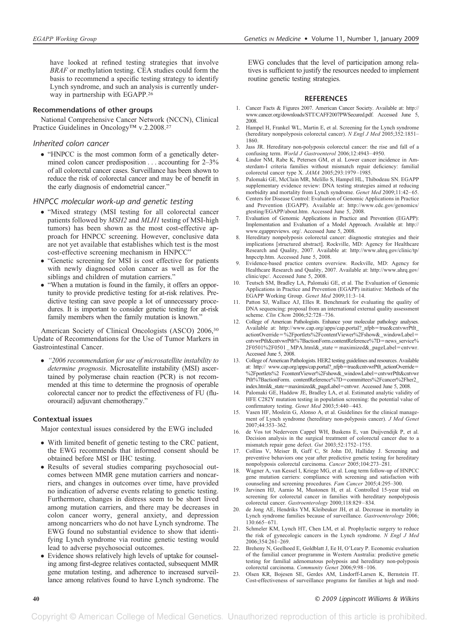have looked at refined testing strategies that involve *BRAF* or methylation testing. CEA studies could form the basis to recommend a specific testing strategy to identify Lynch syndrome, and such an analysis is currently underway in partnership with EGAPP.26

## **Recommendations of other groups**

National Comprehensive Cancer Network (NCCN), Clinical Practice Guidelines in Oncology™ v.2.2008.27

#### *Inherited colon cancer*

• "HNPCC is the most common form of a genetically determined colon cancer predisposition... accounting for  $2-3\%$ of all colorectal cancer cases. Surveillance has been shown to reduce the risk of colorectal cancer and may be of benefit in the early diagnosis of endometrial cancer."

#### *HNPCC molecular work-up and genetic testing*

- "Mixed strategy (MSI testing for all colorectal cancer patients followed by *MSH2* and *MLH1* testing of MSI-high tumors) has been shown as the most cost-effective approach for HNPCC screening. However, conclusive data are not yet available that establishes which test is the most cost-effective screening mechanism in HNPCC"
- "Genetic screening for MSI is cost effective for patients with newly diagnosed colon cancer as well as for the siblings and children of mutation carriers."
- "When a mutation is found in the family, it offers an opportunity to provide predictive testing for at-risk relatives. Predictive testing can save people a lot of unnecessary procedures. It is important to consider genetic testing for at-risk family members when the family mutation is known."

American Society of Clinical Oncologists (ASCO) 2006,30 Update of Recommendations for the Use of Tumor Markers in Gastrointestinal Cancer.

● *"2006 recommendation for use of microsatellite instability to determine prognosis*. Microsatellite instability (MSI) ascertained by polymerase chain reaction (PCR) is not recommended at this time to determine the prognosis of operable colorectal cancer nor to predict the effectiveness of FU (fluorouracil) adjuvant chemotherapy."

#### **Contextual issues**

Major contextual issues considered by the EWG included

- With limited benefit of genetic testing to the CRC patient, the EWG recommends that informed consent should be obtained before MSI or IHC testing.
- Results of several studies comparing psychosocial outcomes between MMR gene mutation carriers and noncarriers, and changes in outcomes over time, have provided no indication of adverse events relating to genetic testing. Furthermore, changes in distress seem to be short lived among mutation carriers, and there may be decreases in colon cancer worry, general anxiety, and depression among noncarriers who do not have Lynch syndrome. The EWG found no substantial evidence to show that identifying Lynch syndrome via routine genetic testing would lead to adverse psychosocial outcomes.
- Evidence shows relatively high levels of uptake for counseling among first-degree relatives contacted, subsequent MMR gene mutation testing, and adherence to increased surveillance among relatives found to have Lynch syndrome. The

EWG concludes that the level of participation among relatives is sufficient to justify the resources needed to implement routine genetic testing strategies.

#### **REFERENCES**

- 1. Cancer Facts & Figures 2007. American Cancer Society. Available at: http:// www.cancer.org/downloads/STT/CAFF2007PWSecured.pdf. Accessed June 5, 2008.
- Hampel H, Frankel WL, Martin E, et al. Screening for the Lynch syndrome (hereditary nonpolyposis colorectal cancer). *N Engl J Med* 2005;352:1851– 1860.
- 3. Jass JR. Hereditary non-polyposis colorectal cancer: the rise and fall of a confusing term. *World J Gastroenterol* 2006;12:4943– 4950.
- 4. Lindor NM, Rabe K, Petersen GM, et al. Lower cancer incidence in Amsterdam-I criteria families without mismatch repair deficiency: familial colorectal cancer type X. *JAMA* 2005;293:1979 –1985.
- 5. Palomaki GE, McClain MR, Melillo S, Hampel HL, Thibodeau SN. EGAPP supplementary evidence review: DNA testing strategies aimed at reducing morbidity and mortality from Lynch syndrome. *Genet Med* 2009:11:42–65.
- 6. Centers for Disease Control: Evaluation of Genomic Applications in Practice and Prevention (EGAPP). Available at: http://www.cdc.gov/genomics/ gtesting/EGAPP/about.htm. Accessed June 5, 2008.
- 7. Evaluation of Genomic Applications in Practice and Prevention (EGAPP): Implementation and Evaluation of a Model Approach. Available at: http:// www.egappreviews. org/. Accessed June 5, 2008.
- 8. Hereditary nonpolyposis colorectal cancer: diagnostic strategies and their implications [structured abstract]. Rockville, MD: Agency for Healthcare Research and Quality, 2007. Available at: http://www.ahrq.gov/clinic/tp/ hnpcctp.htm. Accessed June 5, 2008.
- 9. Evidence-based practice centers overview*.* Rockville, MD: Agency for Healthcare Research and Quality, 2007. Available at: http://www.ahrq.gov/ clinic/epc/. Accessed June 5, 2008.
- 10. Teutsch SM, Bradley LA, Palomaki GE, et al. The Evaluation of Genomic Applications in Practice and Prevention (EGAPP) initiative: Methods of the EGAPP Working Group. *Genet Med* 2009;11:3–14.
- 11. Patton SJ, Wallace AJ, Elles R. Benchmark for evaluating the quality of DNA sequencing: proposal from an international external quality assessment scheme. *Clin Chem* 2006;52:728 –736.
- 12. College of American Pathologists. Enhance your molecular pathology analyses. Available at: http://www.cap.org/apps/cap.portal?\_nfpb=true&cntvwrPtlt\_ actionOverride-%2Fportlets%2FcontentViewer%2Fshow&\_windowLabel cntvwrPtlt&cntvwrPtlt%7BactionForm.contentReference%7D=news\_service% 2F0501%2F0501\_MPA.html&\_state = maximized&\_pageLabel=cntvwr. Accessed June 5, 2008.
- 13. College of American Pathologists. HER2 testing guidelines and resources. Available at: http:// www.cap.org/apps/cap.portal?\_nfpb=true&cntvwrPtlt\_actionOverride= %2Fportlets%2 FcontentViewer%2Fshow&\_windowLabel=cntvwrPtlt&cntvwr Ptlt%7BactionForm. contentReference%7D=committees%2Fcancer%2Fher2\_ index.html&\_state=maximized&\_pageLabel=cntvwr. Accessed June 5, 2008.
- 14. Palomaki GE, Haddow JE, Bradley LA, et al. Estimated analytic validity of HFE C282Y mutation testing in population screening: the potential value of confirmatory testing. *Genet Med* 2003;5:440 – 443.
- 15. Vasen HF, Moslein G, Alonso A, et al. Guidelines for the clinical management of Lynch syndrome (hereditary non-polyposis cancer). *J Med Genet* 2007;44:353–362.
- 16. de Vos tot Nederveen Cappel WH, Buskens E, van Duijvendijk P, et al. Decision analysis in the surgical treatment of colorectal cancer due to a mismatch repair gene defect. *Gut* 2003;52:1752–1755.
- 17. Collins V, Meiser B, Gaff C, St John DJ, Halliday J. Screening and preventive behaviors one year after predictive genetic testing for hereditary nonpolyposis colorectal carcinoma. *Cancer* 2005;104:273–281.
- 18. Wagner A, van Kessel I, Kriege MG, et al. Long term follow-up of HNPCC gene mutation carriers: compliance with screening and satisfaction with counseling and screening procedures. *Fam Cancer* 2005;4:295–300.
- 19. Jarvinen HJ, Aarnio M, Mustonen H, et al. Controlled 15-year trial on screening for colorectal cancer in families with hereditary nonpolyposis colorectal cancer. *Gastroenterology* 2000;118:829 – 834.
- 20. de Jong AE, Hendriks YM, Kleibeuker JH, et al. Decrease in mortality in Lynch syndrome families because of surveillance. *Gastroenterology* 2006; 130:665– 671.
- 21. Schmeler KM, Lynch HT, Chen LM, et al. Prophylactic surgery to reduce the risk of gynecologic cancers in the Lynch syndrome. *N Engl J Med* 2006;354:261–269.
- 22. Breheny N, Geelhoed E, Goldblatt J, Ee H, O'Leary P. Economic evaluation of the familial cancer programme in Western Australia: predictive genetic testing for familial adenomatous polyposis and hereditary non-polyposis colorectal carcinoma. *Community Genet* 2006;9:98 –106.
- 23. Olsen KR, Bojesen SE, Gerdes AM, Lindorff-Larsen K, Bernstein IT. Cost-effectiveness of surveillance programs for families at high and mod-

#### **40** *© 2009 Lippincott Williams & Wilkins*